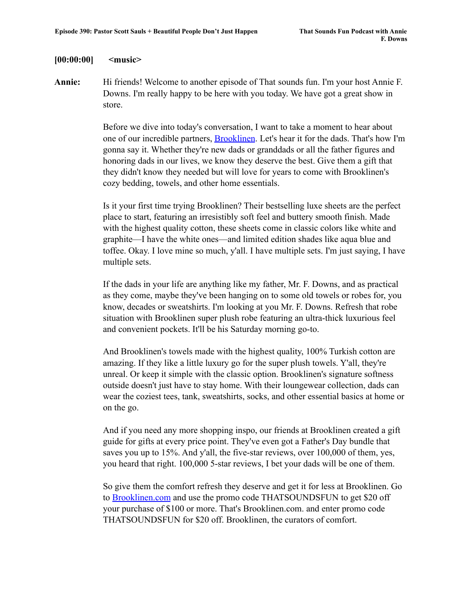## **[00:00:00] <music>**

**Annie:** Hi friends! Welcome to another episode of That sounds fun. I'm your host Annie F. Downs. I'm really happy to be here with you today. We have got a great show in store.

> Before we dive into today's conversation, I want to take a moment to hear about one of our incredible partners, [Brooklinen](http://www.brooklinen.com). Let's hear it for the dads. That's how I'm gonna say it. Whether they're new dads or granddads or all the father figures and honoring dads in our lives, we know they deserve the best. Give them a gift that they didn't know they needed but will love for years to come with Brooklinen's cozy bedding, towels, and other home essentials.

> Is it your first time trying Brooklinen? Their bestselling luxe sheets are the perfect place to start, featuring an irresistibly soft feel and buttery smooth finish. Made with the highest quality cotton, these sheets come in classic colors like white and graphite—I have the white ones—and limited edition shades like aqua blue and toffee. Okay. I love mine so much, y'all. I have multiple sets. I'm just saying, I have multiple sets.

> If the dads in your life are anything like my father, Mr. F. Downs, and as practical as they come, maybe they've been hanging on to some old towels or robes for, you know, decades or sweatshirts. I'm looking at you Mr. F. Downs. Refresh that robe situation with Brooklinen super plush robe featuring an ultra-thick luxurious feel and convenient pockets. It'll be his Saturday morning go-to.

> And Brooklinen's towels made with the highest quality, 100% Turkish cotton are amazing. If they like a little luxury go for the super plush towels. Y'all, they're unreal. Or keep it simple with the classic option. Brooklinen's signature softness outside doesn't just have to stay home. With their loungewear collection, dads can wear the coziest tees, tank, sweatshirts, socks, and other essential basics at home or on the go.

And if you need any more shopping inspo, our friends at Brooklinen created a gift guide for gifts at every price point. They've even got a Father's Day bundle that saves you up to 15%. And y'all, the five-star reviews, over 100,000 of them, yes, you heard that right. 100,000 5-star reviews, I bet your dads will be one of them.

So give them the comfort refresh they deserve and get it for less at Brooklinen. Go to [Brooklinen.com](http://www.brooklinen.com) and use the promo code THATSOUNDSFUN to get \$20 off your purchase of \$100 or more. That's Brooklinen.com. and enter promo code THATSOUNDSFUN for \$20 off. Brooklinen, the curators of comfort.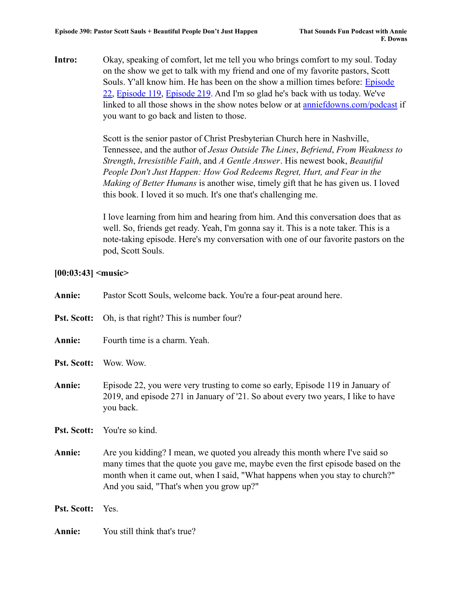**Intro:** Okay, speaking of comfort, let me tell you who brings comfort to my soul. Today on the show we get to talk with my friend and one of my favorite pastors, Scott Souls. Y'all know him. He has been on the show a million times before: [Episode](https://www.anniefdowns.com/podcast/that-sounds-fun-podcast-episode-22-scott-sauls/) [22](https://www.anniefdowns.com/podcast/that-sounds-fun-podcast-episode-22-scott-sauls/), [Episode 119,](https://www.anniefdowns.com/podcast/that-sounds-fun-podcast-episode-119-scott-sauls/) [Episode 219](https://www.anniefdowns.com/podcast/that-sounds-fun-podcast-episode-119-scott-sauls/). And I'm so glad he's back with us today. We've linked to all those shows in the show notes below or at [anniefdowns.com/podcast](http://www.anniefdowns.com/podcast) if you want to go back and listen to those.

> Scott is the senior pastor of Christ Presbyterian Church here in Nashville, Tennessee, and the author of *Jesus Outside The Lines*, *Befriend*, *From Weakness to Strength*, *Irresistible Faith*, and *A Gentle Answer*. His newest book, *Beautiful People Don't Just Happen: How God Redeems Regret, Hurt, and Fear in the Making of Better Humans* is another wise, timely gift that he has given us. I loved this book. I loved it so much. It's one that's challenging me.

> I love learning from him and hearing from him. And this conversation does that as well. So, friends get ready. Yeah, I'm gonna say it. This is a note taker. This is a note-taking episode. Here's my conversation with one of our favorite pastors on the pod, Scott Souls.

# **[00:03:43] <music>**

| Annie:             | Pastor Scott Souls, welcome back. You're a four-peat around here.                                                                                                                                                                                                                            |
|--------------------|----------------------------------------------------------------------------------------------------------------------------------------------------------------------------------------------------------------------------------------------------------------------------------------------|
| <b>Pst. Scott:</b> | Oh, is that right? This is number four?                                                                                                                                                                                                                                                      |
| Annie:             | Fourth time is a charm. Yeah.                                                                                                                                                                                                                                                                |
| <b>Pst. Scott:</b> | Wow. Wow.                                                                                                                                                                                                                                                                                    |
| Annie:             | Episode 22, you were very trusting to come so early, Episode 119 in January of<br>2019, and episode 271 in January of '21. So about every two years, I like to have<br>you back.                                                                                                             |
| <b>Pst. Scott:</b> | You're so kind.                                                                                                                                                                                                                                                                              |
| Annie:             | Are you kidding? I mean, we quoted you already this month where I've said so<br>many times that the quote you gave me, maybe even the first episode based on the<br>month when it came out, when I said, "What happens when you stay to church?"<br>And you said, "That's when you grow up?" |
| <b>Pst. Scott:</b> | Yes.                                                                                                                                                                                                                                                                                         |
| Annie:             | You still think that's true?                                                                                                                                                                                                                                                                 |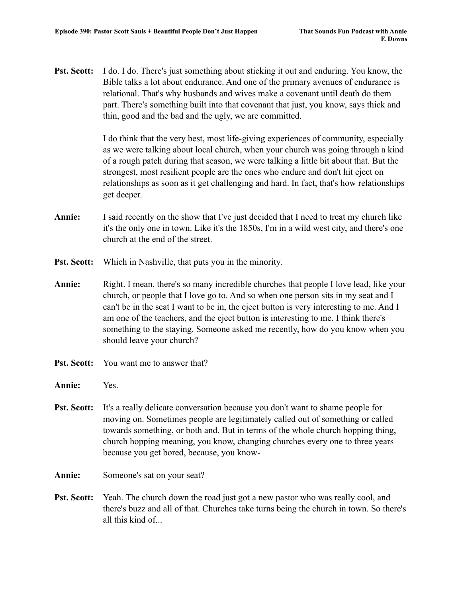**Pst. Scott:** I do. I do. There's just something about sticking it out and enduring. You know, the Bible talks a lot about endurance. And one of the primary avenues of endurance is relational. That's why husbands and wives make a covenant until death do them part. There's something built into that covenant that just, you know, says thick and thin, good and the bad and the ugly, we are committed.

> I do think that the very best, most life-giving experiences of community, especially as we were talking about local church, when your church was going through a kind of a rough patch during that season, we were talking a little bit about that. But the strongest, most resilient people are the ones who endure and don't hit eject on relationships as soon as it get challenging and hard. In fact, that's how relationships get deeper.

- **Annie:** I said recently on the show that I've just decided that I need to treat my church like it's the only one in town. Like it's the 1850s, I'm in a wild west city, and there's one church at the end of the street.
- **Pst. Scott:** Which in Nashville, that puts you in the minority.
- **Annie:** Right. I mean, there's so many incredible churches that people I love lead, like your church, or people that I love go to. And so when one person sits in my seat and I can't be in the seat I want to be in, the eject button is very interesting to me. And I am one of the teachers, and the eject button is interesting to me. I think there's something to the staying. Someone asked me recently, how do you know when you should leave your church?
- **Pst. Scott:** You want me to answer that?
- **Annie:** Yes.
- **Pst. Scott:** It's a really delicate conversation because you don't want to shame people for moving on. Sometimes people are legitimately called out of something or called towards something, or both and. But in terms of the whole church hopping thing, church hopping meaning, you know, changing churches every one to three years because you get bored, because, you know-
- Annie: Someone's sat on your seat?
- **Pst. Scott:** Yeah. The church down the road just got a new pastor who was really cool, and there's buzz and all of that. Churches take turns being the church in town. So there's all this kind of...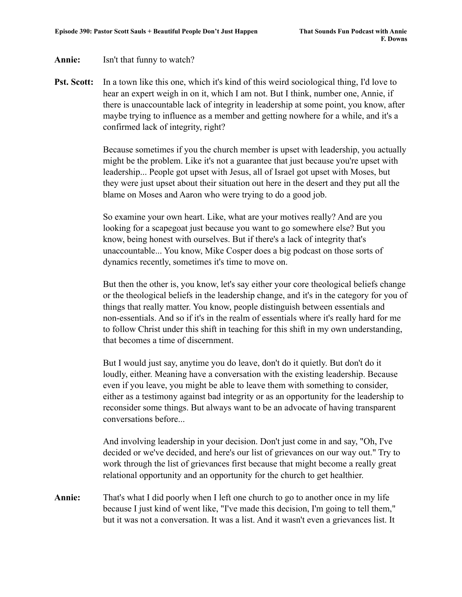## **Annie:** Isn't that funny to watch?

**Pst. Scott:** In a town like this one, which it's kind of this weird sociological thing, I'd love to hear an expert weigh in on it, which I am not. But I think, number one, Annie, if there is unaccountable lack of integrity in leadership at some point, you know, after maybe trying to influence as a member and getting nowhere for a while, and it's a confirmed lack of integrity, right?

> Because sometimes if you the church member is upset with leadership, you actually might be the problem. Like it's not a guarantee that just because you're upset with leadership... People got upset with Jesus, all of Israel got upset with Moses, but they were just upset about their situation out here in the desert and they put all the blame on Moses and Aaron who were trying to do a good job.

So examine your own heart. Like, what are your motives really? And are you looking for a scapegoat just because you want to go somewhere else? But you know, being honest with ourselves. But if there's a lack of integrity that's unaccountable... You know, Mike Cosper does a big podcast on those sorts of dynamics recently, sometimes it's time to move on.

But then the other is, you know, let's say either your core theological beliefs change or the theological beliefs in the leadership change, and it's in the category for you of things that really matter. You know, people distinguish between essentials and non-essentials. And so if it's in the realm of essentials where it's really hard for me to follow Christ under this shift in teaching for this shift in my own understanding, that becomes a time of discernment.

But I would just say, anytime you do leave, don't do it quietly. But don't do it loudly, either. Meaning have a conversation with the existing leadership. Because even if you leave, you might be able to leave them with something to consider, either as a testimony against bad integrity or as an opportunity for the leadership to reconsider some things. But always want to be an advocate of having transparent conversations before...

And involving leadership in your decision. Don't just come in and say, "Oh, I've decided or we've decided, and here's our list of grievances on our way out." Try to work through the list of grievances first because that might become a really great relational opportunity and an opportunity for the church to get healthier.

**Annie:** That's what I did poorly when I left one church to go to another once in my life because I just kind of went like, "I've made this decision, I'm going to tell them," but it was not a conversation. It was a list. And it wasn't even a grievances list. It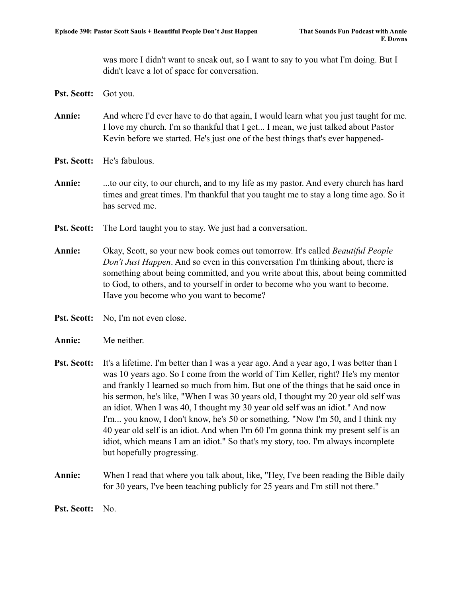was more I didn't want to sneak out, so I want to say to you what I'm doing. But I didn't leave a lot of space for conversation.

- **Pst. Scott:** Got you.
- **Annie:** And where I'd ever have to do that again, I would learn what you just taught for me. I love my church. I'm so thankful that I get... I mean, we just talked about Pastor Kevin before we started. He's just one of the best things that's ever happened-
- **Pst. Scott:** He's fabulous.
- **Annie:** ...to our city, to our church, and to my life as my pastor. And every church has hard times and great times. I'm thankful that you taught me to stay a long time ago. So it has served me.
- **Pst. Scott:** The Lord taught you to stay. We just had a conversation.
- **Annie:** Okay, Scott, so your new book comes out tomorrow. It's called *Beautiful People Don't Just Happen*. And so even in this conversation I'm thinking about, there is something about being committed, and you write about this, about being committed to God, to others, and to yourself in order to become who you want to become. Have you become who you want to become?
- **Pst. Scott:** No, I'm not even close.
- **Annie:** Me neither.
- **Pst. Scott:** It's a lifetime. I'm better than I was a year ago. And a year ago, I was better than I was 10 years ago. So I come from the world of Tim Keller, right? He's my mentor and frankly I learned so much from him. But one of the things that he said once in his sermon, he's like, "When I was 30 years old, I thought my 20 year old self was an idiot. When I was 40, I thought my 30 year old self was an idiot." And now I'm... you know, I don't know, he's 50 or something. "Now I'm 50, and I think my 40 year old self is an idiot. And when I'm 60 I'm gonna think my present self is an idiot, which means I am an idiot." So that's my story, too. I'm always incomplete but hopefully progressing.
- **Annie:** When I read that where you talk about, like, "Hey, I've been reading the Bible daily for 30 years, I've been teaching publicly for 25 years and I'm still not there."

**Pst. Scott:** No.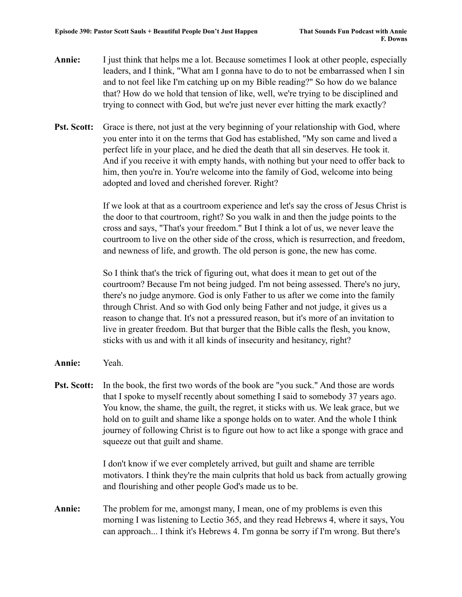- **Annie:** I just think that helps me a lot. Because sometimes I look at other people, especially leaders, and I think, "What am I gonna have to do to not be embarrassed when I sin and to not feel like I'm catching up on my Bible reading?" So how do we balance that? How do we hold that tension of like, well, we're trying to be disciplined and trying to connect with God, but we're just never ever hitting the mark exactly?
- **Pst. Scott:** Grace is there, not just at the very beginning of your relationship with God, where you enter into it on the terms that God has established, "My son came and lived a perfect life in your place, and he died the death that all sin deserves. He took it. And if you receive it with empty hands, with nothing but your need to offer back to him, then you're in. You're welcome into the family of God, welcome into being adopted and loved and cherished forever. Right?

If we look at that as a courtroom experience and let's say the cross of Jesus Christ is the door to that courtroom, right? So you walk in and then the judge points to the cross and says, "That's your freedom." But I think a lot of us, we never leave the courtroom to live on the other side of the cross, which is resurrection, and freedom, and newness of life, and growth. The old person is gone, the new has come.

So I think that's the trick of figuring out, what does it mean to get out of the courtroom? Because I'm not being judged. I'm not being assessed. There's no jury, there's no judge anymore. God is only Father to us after we come into the family through Christ. And so with God only being Father and not judge, it gives us a reason to change that. It's not a pressured reason, but it's more of an invitation to live in greater freedom. But that burger that the Bible calls the flesh, you know, sticks with us and with it all kinds of insecurity and hesitancy, right?

- **Annie:** Yeah.
- **Pst. Scott:** In the book, the first two words of the book are "you suck." And those are words that I spoke to myself recently about something I said to somebody 37 years ago. You know, the shame, the guilt, the regret, it sticks with us. We leak grace, but we hold on to guilt and shame like a sponge holds on to water. And the whole I think journey of following Christ is to figure out how to act like a sponge with grace and squeeze out that guilt and shame.

I don't know if we ever completely arrived, but guilt and shame are terrible motivators. I think they're the main culprits that hold us back from actually growing and flourishing and other people God's made us to be.

**Annie:** The problem for me, amongst many, I mean, one of my problems is even this morning I was listening to Lectio 365, and they read Hebrews 4, where it says, You can approach... I think it's Hebrews 4. I'm gonna be sorry if I'm wrong. But there's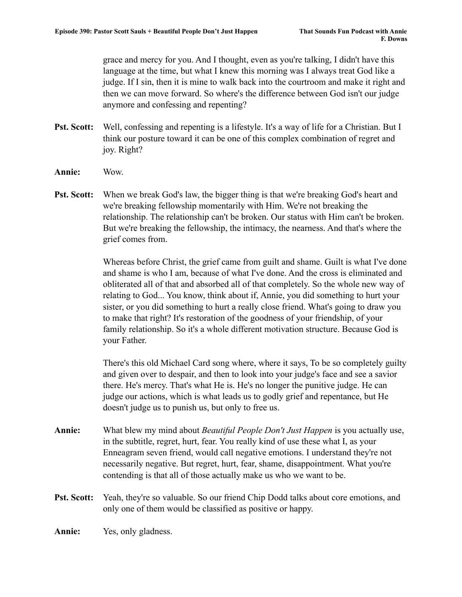grace and mercy for you. And I thought, even as you're talking, I didn't have this language at the time, but what I knew this morning was I always treat God like a judge. If I sin, then it is mine to walk back into the courtroom and make it right and then we can move forward. So where's the difference between God isn't our judge anymore and confessing and repenting?

- **Pst. Scott:** Well, confessing and repenting is a lifestyle. It's a way of life for a Christian. But I think our posture toward it can be one of this complex combination of regret and joy. Right?
- **Annie:** Wow.
- **Pst. Scott:** When we break God's law, the bigger thing is that we're breaking God's heart and we're breaking fellowship momentarily with Him. We're not breaking the relationship. The relationship can't be broken. Our status with Him can't be broken. But we're breaking the fellowship, the intimacy, the nearness. And that's where the grief comes from.

Whereas before Christ, the grief came from guilt and shame. Guilt is what I've done and shame is who I am, because of what I've done. And the cross is eliminated and obliterated all of that and absorbed all of that completely. So the whole new way of relating to God... You know, think about if, Annie, you did something to hurt your sister, or you did something to hurt a really close friend. What's going to draw you to make that right? It's restoration of the goodness of your friendship, of your family relationship. So it's a whole different motivation structure. Because God is your Father.

There's this old Michael Card song where, where it says, To be so completely guilty and given over to despair, and then to look into your judge's face and see a savior there. He's mercy. That's what He is. He's no longer the punitive judge. He can judge our actions, which is what leads us to godly grief and repentance, but He doesn't judge us to punish us, but only to free us.

- **Annie:** What blew my mind about *Beautiful People Don't Just Happen* is you actually use, in the subtitle, regret, hurt, fear. You really kind of use these what I, as your Enneagram seven friend, would call negative emotions. I understand they're not necessarily negative. But regret, hurt, fear, shame, disappointment. What you're contending is that all of those actually make us who we want to be.
- **Pst. Scott:** Yeah, they're so valuable. So our friend Chip Dodd talks about core emotions, and only one of them would be classified as positive or happy.

**Annie:** Yes, only gladness.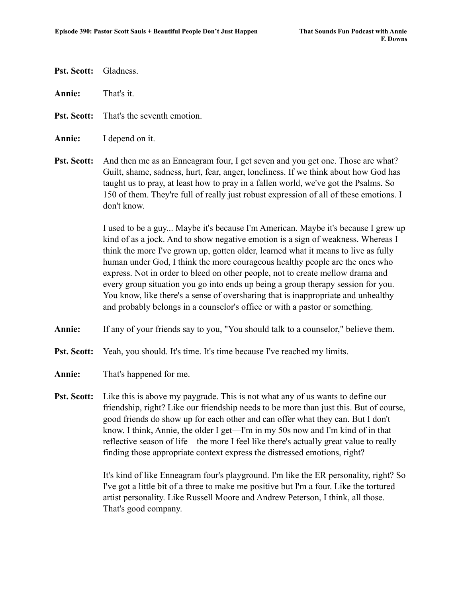- **Pst. Scott:** Gladness.
- **Annie:** That's it.
- **Pst. Scott:** That's the seventh emotion.
- **Annie:** I depend on it.
- **Pst. Scott:** And then me as an Enneagram four, I get seven and you get one. Those are what? Guilt, shame, sadness, hurt, fear, anger, loneliness. If we think about how God has taught us to pray, at least how to pray in a fallen world, we've got the Psalms. So 150 of them. They're full of really just robust expression of all of these emotions. I don't know.

I used to be a guy... Maybe it's because I'm American. Maybe it's because I grew up kind of as a jock. And to show negative emotion is a sign of weakness. Whereas I think the more I've grown up, gotten older, learned what it means to live as fully human under God, I think the more courageous healthy people are the ones who express. Not in order to bleed on other people, not to create mellow drama and every group situation you go into ends up being a group therapy session for you. You know, like there's a sense of oversharing that is inappropriate and unhealthy and probably belongs in a counselor's office or with a pastor or something.

- **Annie:** If any of your friends say to you, "You should talk to a counselor," believe them.
- **Pst. Scott:** Yeah, you should. It's time. It's time because I've reached my limits.
- **Annie:** That's happened for me.
- **Pst. Scott:** Like this is above my paygrade. This is not what any of us wants to define our friendship, right? Like our friendship needs to be more than just this. But of course, good friends do show up for each other and can offer what they can. But I don't know. I think, Annie, the older I get—I'm in my 50s now and I'm kind of in that reflective season of life—the more I feel like there's actually great value to really finding those appropriate context express the distressed emotions, right?

It's kind of like Enneagram four's playground. I'm like the ER personality, right? So I've got a little bit of a three to make me positive but I'm a four. Like the tortured artist personality. Like Russell Moore and Andrew Peterson, I think, all those. That's good company.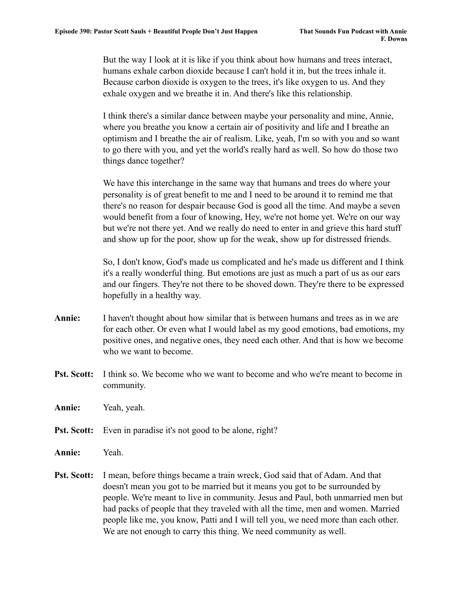But the way I look at it is like if you think about how humans and trees interact, humans exhale carbon dioxide because I can't hold it in, but the trees inhale it. Because carbon dioxide is oxygen to the trees, it's like oxygen to us. And they exhale oxygen and we breathe it in. And there's like this relationship.

I think there's a similar dance between maybe your personality and mine, Annie, where you breathe you know a certain air of positivity and life and I breathe an optimism and I breathe the air of realism. Like, yeah, I'm so with you and so want to go there with you, and yet the world's really hard as well. So how do those two things dance together?

We have this interchange in the same way that humans and trees do where your personality is of great benefit to me and I need to be around it to remind me that there's no reason for despair because God is good all the time. And maybe a seven would benefit from a four of knowing, Hey, we're not home yet. We're on our way but we're not there yet. And we really do need to enter in and grieve this hard stuff and show up for the poor, show up for the weak, show up for distressed friends.

So, I don't know, God's made us complicated and he's made us different and I think it's a really wonderful thing. But emotions are just as much a part of us as our ears and our fingers. They're not there to be shoved down. They're there to be expressed hopefully in a healthy way.

- **Annie:** I haven't thought about how similar that is between humans and trees as in we are for each other. Or even what I would label as my good emotions, bad emotions, my positive ones, and negative ones, they need each other. And that is how we become who we want to become.
- **Pst. Scott:** I think so. We become who we want to become and who we're meant to become in community.

**Annie:** Yeah, yeah.

- **Pst. Scott:** Even in paradise it's not good to be alone, right?
- **Annie:** Yeah.
- **Pst. Scott:** I mean, before things became a train wreck, God said that of Adam. And that doesn't mean you got to be married but it means you got to be surrounded by people. We're meant to live in community. Jesus and Paul, both unmarried men but had packs of people that they traveled with all the time, men and women. Married people like me, you know, Patti and I will tell you, we need more than each other. We are not enough to carry this thing. We need community as well.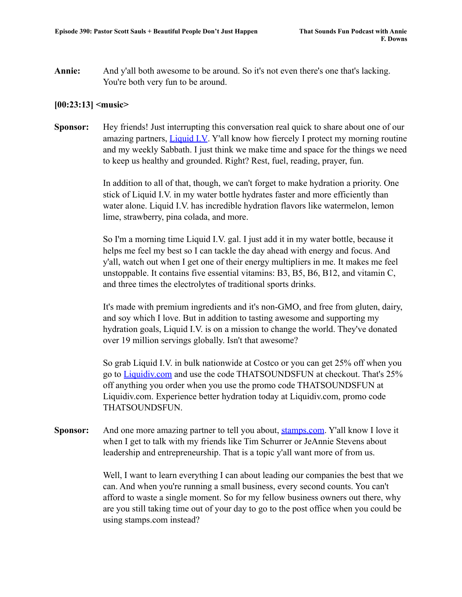**Annie:** And y'all both awesome to be around. So it's not even there's one that's lacking. You're both very fun to be around.

## **[00:23:13] <music>**

**Sponsor:** Hey friends! Just interrupting this conversation real quick to share about one of our amazing partners, [Liquid I.V](http://www.liquidiv.com). Y'all know how fiercely I protect my morning routine and my weekly Sabbath. I just think we make time and space for the things we need to keep us healthy and grounded. Right? Rest, fuel, reading, prayer, fun.

> In addition to all of that, though, we can't forget to make hydration a priority. One stick of Liquid I.V. in my water bottle hydrates faster and more efficiently than water alone. Liquid I.V. has incredible hydration flavors like watermelon, lemon lime, strawberry, pina colada, and more.

> So I'm a morning time Liquid I.V. gal. I just add it in my water bottle, because it helps me feel my best so I can tackle the day ahead with energy and focus. And y'all, watch out when I get one of their energy multipliers in me. It makes me feel unstoppable. It contains five essential vitamins: B3, B5, B6, B12, and vitamin C, and three times the electrolytes of traditional sports drinks.

It's made with premium ingredients and it's non-GMO, and free from gluten, dairy, and soy which I love. But in addition to tasting awesome and supporting my hydration goals, Liquid I.V. is on a mission to change the world. They've donated over 19 million servings globally. Isn't that awesome?

So grab Liquid I.V. in bulk nationwide at Costco or you can get 25% off when you go to [Liquidiv.com](http://www.liquidiv.com) and use the code THATSOUNDSFUN at checkout. That's 25% off anything you order when you use the promo code THATSOUNDSFUN at Liquidiv.com. Experience better hydration today at Liquidiv.com, promo code THATSOUNDSFUN.

**Sponsor:** And one more amazing partner to tell you about, [stamps.com](http://www.stamps.com). Y'all know I love it when I get to talk with my friends like Tim Schurrer or JeAnnie Stevens about leadership and entrepreneurship. That is a topic y'all want more of from us.

> Well, I want to learn everything I can about leading our companies the best that we can. And when you're running a small business, every second counts. You can't afford to waste a single moment. So for my fellow business owners out there, why are you still taking time out of your day to go to the post office when you could be using stamps.com instead?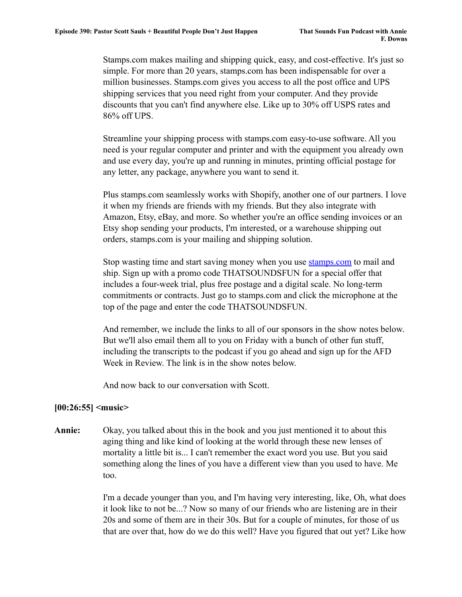Stamps.com makes mailing and shipping quick, easy, and cost-effective. It's just so simple. For more than 20 years, stamps.com has been indispensable for over a million businesses. Stamps.com gives you access to all the post office and UPS shipping services that you need right from your computer. And they provide discounts that you can't find anywhere else. Like up to 30% off USPS rates and 86% off UPS.

Streamline your shipping process with stamps.com easy-to-use software. All you need is your regular computer and printer and with the equipment you already own and use every day, you're up and running in minutes, printing official postage for any letter, any package, anywhere you want to send it.

Plus stamps.com seamlessly works with Shopify, another one of our partners. I love it when my friends are friends with my friends. But they also integrate with Amazon, Etsy, eBay, and more. So whether you're an office sending invoices or an Etsy shop sending your products, I'm interested, or a warehouse shipping out orders, stamps.com is your mailing and shipping solution.

Stop wasting time and start saving money when you use [stamps.com](http://www.stamps.com) to mail and ship. Sign up with a promo code THATSOUNDSFUN for a special offer that includes a four-week trial, plus free postage and a digital scale. No long-term commitments or contracts. Just go to stamps.com and click the microphone at the top of the page and enter the code THATSOUNDSFUN.

And remember, we include the links to all of our sponsors in the show notes below. But we'll also email them all to you on Friday with a bunch of other fun stuff, including the transcripts to the podcast if you go ahead and sign up for the AFD Week in Review. The link is in the show notes below.

And now back to our conversation with Scott.

#### **[00:26:55] <music>**

**Annie:** Okay, you talked about this in the book and you just mentioned it to about this aging thing and like kind of looking at the world through these new lenses of mortality a little bit is... I can't remember the exact word you use. But you said something along the lines of you have a different view than you used to have. Me too.

> I'm a decade younger than you, and I'm having very interesting, like, Oh, what does it look like to not be...? Now so many of our friends who are listening are in their 20s and some of them are in their 30s. But for a couple of minutes, for those of us that are over that, how do we do this well? Have you figured that out yet? Like how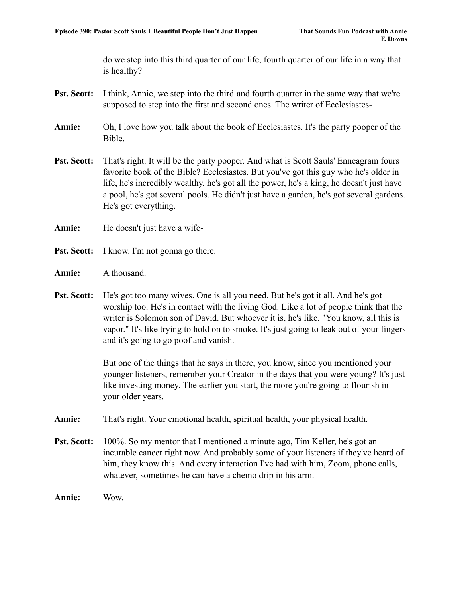do we step into this third quarter of our life, fourth quarter of our life in a way that is healthy?

- **Pst. Scott:** I think, Annie, we step into the third and fourth quarter in the same way that we're supposed to step into the first and second ones. The writer of Ecclesiastes-
- **Annie:** Oh, I love how you talk about the book of Ecclesiastes. It's the party pooper of the Bible.
- **Pst. Scott:** That's right. It will be the party pooper. And what is Scott Sauls' Enneagram fours favorite book of the Bible? Ecclesiastes. But you've got this guy who he's older in life, he's incredibly wealthy, he's got all the power, he's a king, he doesn't just have a pool, he's got several pools. He didn't just have a garden, he's got several gardens. He's got everything.
- **Annie:** He doesn't just have a wife-
- **Pst. Scott:** I know. I'm not gonna go there.
- **Annie:** A thousand.
- **Pst. Scott:** He's got too many wives. One is all you need. But he's got it all. And he's got worship too. He's in contact with the living God. Like a lot of people think that the writer is Solomon son of David. But whoever it is, he's like, "You know, all this is vapor." It's like trying to hold on to smoke. It's just going to leak out of your fingers and it's going to go poof and vanish.

But one of the things that he says in there, you know, since you mentioned your younger listeners, remember your Creator in the days that you were young? It's just like investing money. The earlier you start, the more you're going to flourish in your older years.

- **Annie:** That's right. Your emotional health, spiritual health, your physical health.
- **Pst. Scott:** 100%. So my mentor that I mentioned a minute ago, Tim Keller, he's got an incurable cancer right now. And probably some of your listeners if they've heard of him, they know this. And every interaction I've had with him, Zoom, phone calls, whatever, sometimes he can have a chemo drip in his arm.

**Annie:** Wow.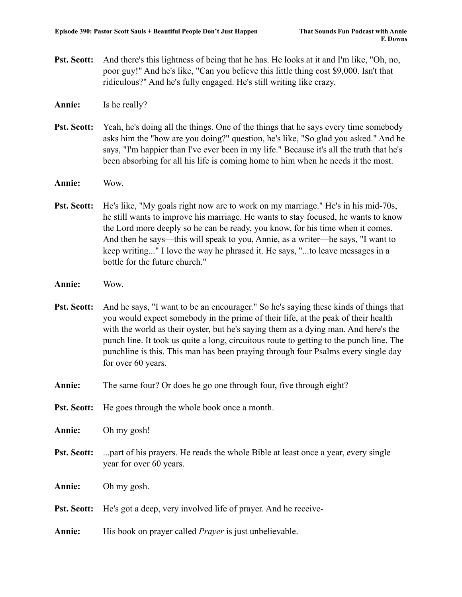**Pst. Scott:** And there's this lightness of being that he has. He looks at it and I'm like, "Oh, no, poor guy!" And he's like, "Can you believe this little thing cost \$9,000. Isn't that ridiculous?" And he's fully engaged. He's still writing like crazy.

**Annie:** Is he really?

- **Pst. Scott:** Yeah, he's doing all the things. One of the things that he says every time somebody asks him the "how are you doing?" question, he's like, "So glad you asked." And he says, "I'm happier than I've ever been in my life." Because it's all the truth that he's been absorbing for all his life is coming home to him when he needs it the most.
- **Annie:** Wow.
- **Pst. Scott:** He's like, "My goals right now are to work on my marriage." He's in his mid-70s, he still wants to improve his marriage. He wants to stay focused, he wants to know the Lord more deeply so he can be ready, you know, for his time when it comes. And then he says—this will speak to you, Annie, as a writer—he says, "I want to keep writing..." I love the way he phrased it. He says, "...to leave messages in a bottle for the future church."
- **Annie:** Wow.
- **Pst. Scott:** And he says, "I want to be an encourager." So he's saying these kinds of things that you would expect somebody in the prime of their life, at the peak of their health with the world as their oyster, but he's saying them as a dying man. And here's the punch line. It took us quite a long, circuitous route to getting to the punch line. The punchline is this. This man has been praying through four Psalms every single day for over 60 years.
- **Annie:** The same four? Or does he go one through four, five through eight?
- **Pst. Scott:** He goes through the whole book once a month.

**Annie:** Oh my gosh!

- **Pst. Scott:** ...part of his prayers. He reads the whole Bible at least once a year, every single year for over 60 years.
- **Annie:** Oh my gosh.
- **Pst. Scott:** He's got a deep, very involved life of prayer. And he receive-
- Annie: His book on prayer called *Prayer* is just unbelievable.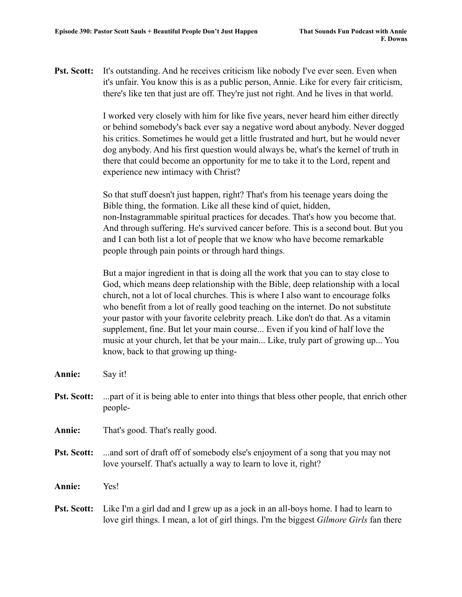**Pst. Scott:** It's outstanding. And he receives criticism like nobody I've ever seen. Even when it's unfair. You know this is as a public person, Annie. Like for every fair criticism, there's like ten that just are off. They're just not right. And he lives in that world.

> I worked very closely with him for like five years, never heard him either directly or behind somebody's back ever say a negative word about anybody. Never dogged his critics. Sometimes he would get a little frustrated and hurt, but he would never dog anybody. And his first question would always be, what's the kernel of truth in there that could become an opportunity for me to take it to the Lord, repent and experience new intimacy with Christ?

> So that stuff doesn't just happen, right? That's from his teenage years doing the Bible thing, the formation. Like all these kind of quiet, hidden, non-Instagrammable spiritual practices for decades. That's how you become that. And through suffering. He's survived cancer before. This is a second bout. But you and I can both list a lot of people that we know who have become remarkable people through pain points or through hard things.

But a major ingredient in that is doing all the work that you can to stay close to God, which means deep relationship with the Bible, deep relationship with a local church, not a lot of local churches. This is where I also want to encourage folks who benefit from a lot of really good teaching on the internet. Do not substitute your pastor with your favorite celebrity preach. Like don't do that. As a vitamin supplement, fine. But let your main course... Even if you kind of half love the music at your church, let that be your main... Like, truly part of growing up... You know, back to that growing up thing-

**Annie:** Say it!

- **Pst. Scott:** ...part of it is being able to enter into things that bless other people, that enrich other people-
- **Annie:** That's good. That's really good.
- **Pst. Scott:** ...and sort of draft off of somebody else's enjoyment of a song that you may not love yourself. That's actually a way to learn to love it, right?

**Annie:** Yes!

**Pst. Scott:** Like I'm a girl dad and I grew up as a jock in an all-boys home. I had to learn to love girl things. I mean, a lot of girl things. I'm the biggest *Gilmore Girls* fan there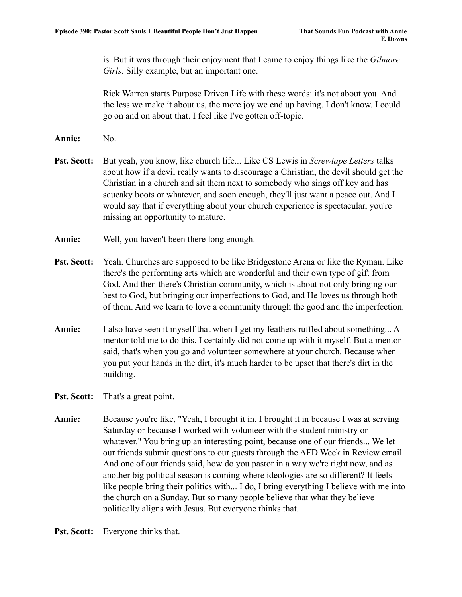is. But it was through their enjoyment that I came to enjoy things like the *Gilmore Girls*. Silly example, but an important one.

Rick Warren starts Purpose Driven Life with these words: it's not about you. And the less we make it about us, the more joy we end up having. I don't know. I could go on and on about that. I feel like I've gotten off-topic.

- **Annie:** No.
- **Pst. Scott:** But yeah, you know, like church life... Like CS Lewis in *Screwtape Letters* talks about how if a devil really wants to discourage a Christian, the devil should get the Christian in a church and sit them next to somebody who sings off key and has squeaky boots or whatever, and soon enough, they'll just want a peace out. And I would say that if everything about your church experience is spectacular, you're missing an opportunity to mature.
- **Annie:** Well, you haven't been there long enough.
- **Pst. Scott:** Yeah. Churches are supposed to be like Bridgestone Arena or like the Ryman. Like there's the performing arts which are wonderful and their own type of gift from God. And then there's Christian community, which is about not only bringing our best to God, but bringing our imperfections to God, and He loves us through both of them. And we learn to love a community through the good and the imperfection.
- **Annie:** I also have seen it myself that when I get my feathers ruffled about something... A mentor told me to do this. I certainly did not come up with it myself. But a mentor said, that's when you go and volunteer somewhere at your church. Because when you put your hands in the dirt, it's much harder to be upset that there's dirt in the building.
- **Pst. Scott:** That's a great point.
- **Annie:** Because you're like, "Yeah, I brought it in. I brought it in because I was at serving Saturday or because I worked with volunteer with the student ministry or whatever." You bring up an interesting point, because one of our friends... We let our friends submit questions to our guests through the AFD Week in Review email. And one of our friends said, how do you pastor in a way we're right now, and as another big political season is coming where ideologies are so different? It feels like people bring their politics with... I do, I bring everything I believe with me into the church on a Sunday. But so many people believe that what they believe politically aligns with Jesus. But everyone thinks that.

**Pst. Scott:** Everyone thinks that.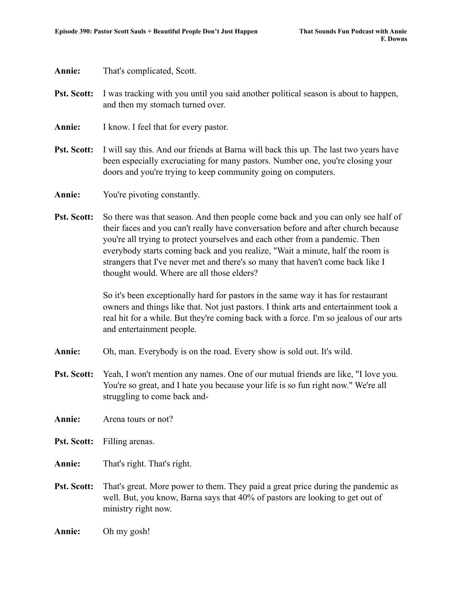**Annie:** That's complicated, Scott.

- **Pst. Scott:** I was tracking with you until you said another political season is about to happen, and then my stomach turned over.
- **Annie:** I know. I feel that for every pastor.
- **Pst. Scott:** I will say this. And our friends at Barna will back this up. The last two years have been especially excruciating for many pastors. Number one, you're closing your doors and you're trying to keep community going on computers.
- **Annie:** You're pivoting constantly.
- **Pst. Scott:** So there was that season. And then people come back and you can only see half of their faces and you can't really have conversation before and after church because you're all trying to protect yourselves and each other from a pandemic. Then everybody starts coming back and you realize, "Wait a minute, half the room is strangers that I've never met and there's so many that haven't come back like I thought would. Where are all those elders?

So it's been exceptionally hard for pastors in the same way it has for restaurant owners and things like that. Not just pastors. I think arts and entertainment took a real hit for a while. But they're coming back with a force. I'm so jealous of our arts and entertainment people.

- **Annie:** Oh, man. Everybody is on the road. Every show is sold out. It's wild.
- **Pst. Scott:** Yeah, I won't mention any names. One of our mutual friends are like, "I love you. You're so great, and I hate you because your life is so fun right now." We're all struggling to come back and-
- **Annie:** Arena tours or not?
- **Pst. Scott:** Filling arenas.

**Annie:** That's right. That's right.

- **Pst. Scott:** That's great. More power to them. They paid a great price during the pandemic as well. But, you know, Barna says that 40% of pastors are looking to get out of ministry right now.
- **Annie:** Oh my gosh!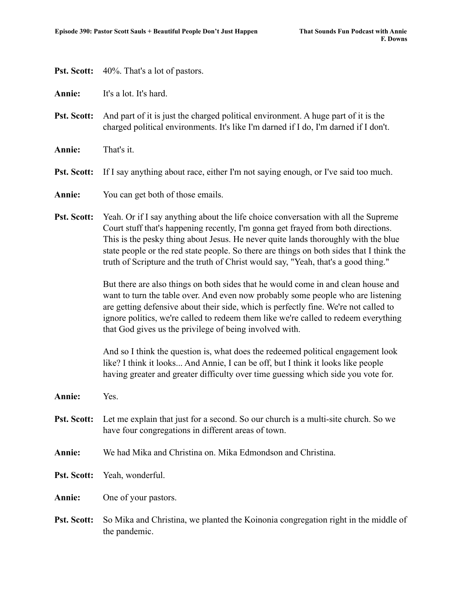**Pst. Scott:** 40%. That's a lot of pastors.

**Annie:** It's a lot. It's hard.

- **Pst. Scott:** And part of it is just the charged political environment. A huge part of it is the charged political environments. It's like I'm darned if I do, I'm darned if I don't.
- **Annie:** That's it.
- **Pst. Scott:** If I say anything about race, either I'm not saying enough, or I've said too much.
- **Annie:** You can get both of those emails.
- **Pst. Scott:** Yeah. Or if I say anything about the life choice conversation with all the Supreme Court stuff that's happening recently, I'm gonna get frayed from both directions. This is the pesky thing about Jesus. He never quite lands thoroughly with the blue state people or the red state people. So there are things on both sides that I think the truth of Scripture and the truth of Christ would say, "Yeah, that's a good thing."

But there are also things on both sides that he would come in and clean house and want to turn the table over. And even now probably some people who are listening are getting defensive about their side, which is perfectly fine. We're not called to ignore politics, we're called to redeem them like we're called to redeem everything that God gives us the privilege of being involved with.

And so I think the question is, what does the redeemed political engagement look like? I think it looks... And Annie, I can be off, but I think it looks like people having greater and greater difficulty over time guessing which side you vote for.

- **Annie:** Yes.
- **Pst. Scott:** Let me explain that just for a second. So our church is a multi-site church. So we have four congregations in different areas of town.

**Annie:** We had Mika and Christina on. Mika Edmondson and Christina.

**Pst. Scott:** Yeah, wonderful.

**Annie:** One of your pastors.

**Pst. Scott:** So Mika and Christina, we planted the Koinonia congregation right in the middle of the pandemic.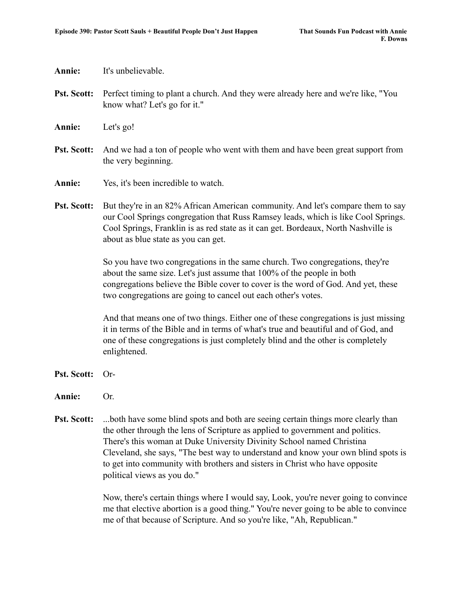### **Annie:** It's unbelievable.

- **Pst. Scott:** Perfect timing to plant a church. And they were already here and we're like, "You know what? Let's go for it."
- **Annie:** Let's go!
- **Pst. Scott:** And we had a ton of people who went with them and have been great support from the very beginning.
- **Annie:** Yes, it's been incredible to watch.
- **Pst. Scott:** But they're in an 82% African American community. And let's compare them to say our Cool Springs congregation that Russ Ramsey leads, which is like Cool Springs. Cool Springs, Franklin is as red state as it can get. Bordeaux, North Nashville is about as blue state as you can get.

So you have two congregations in the same church. Two congregations, they're about the same size. Let's just assume that 100% of the people in both congregations believe the Bible cover to cover is the word of God. And yet, these two congregations are going to cancel out each other's votes.

And that means one of two things. Either one of these congregations is just missing it in terms of the Bible and in terms of what's true and beautiful and of God, and one of these congregations is just completely blind and the other is completely enlightened.

- **Pst. Scott:** Or-
- **Annie:** Or.
- **Pst. Scott:** ...both have some blind spots and both are seeing certain things more clearly than the other through the lens of Scripture as applied to government and politics. There's this woman at Duke University Divinity School named Christina Cleveland, she says, "The best way to understand and know your own blind spots is to get into community with brothers and sisters in Christ who have opposite political views as you do."

Now, there's certain things where I would say, Look, you're never going to convince me that elective abortion is a good thing." You're never going to be able to convince me of that because of Scripture. And so you're like, "Ah, Republican."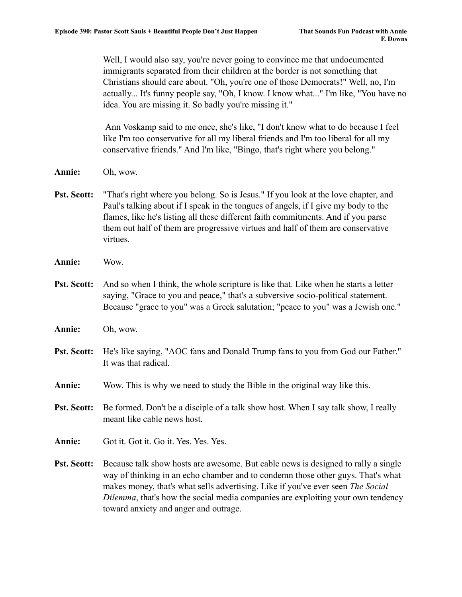Well, I would also say, you're never going to convince me that undocumented immigrants separated from their children at the border is not something that Christians should care about. "Oh, you're one of those Democrats!" Well, no, I'm actually... It's funny people say, "Oh, I know. I know what..." I'm like, "You have no idea. You are missing it. So badly you're missing it."

Ann Voskamp said to me once, she's like, "I don't know what to do because I feel like I'm too conservative for all my liberal friends and I'm too liberal for all my conservative friends." And I'm like, "Bingo, that's right where you belong."

- **Annie:** Oh, wow.
- **Pst. Scott:** "That's right where you belong. So is Jesus." If you look at the love chapter, and Paul's talking about if I speak in the tongues of angels, if I give my body to the flames, like he's listing all these different faith commitments. And if you parse them out half of them are progressive virtues and half of them are conservative virtues.
- **Annie:** Wow.

**Pst. Scott:** And so when I think, the whole scripture is like that. Like when he starts a letter saying, "Grace to you and peace," that's a subversive socio-political statement. Because "grace to you" was a Greek salutation; "peace to you" was a Jewish one."

- **Annie:** Oh, wow.
- **Pst. Scott:** He's like saying, "AOC fans and Donald Trump fans to you from God our Father." It was that radical.
- **Annie:** Wow. This is why we need to study the Bible in the original way like this.
- **Pst. Scott:** Be formed. Don't be a disciple of a talk show host. When I say talk show, I really meant like cable news host.
- **Annie:** Got it. Got it. Go it. Yes. Yes. Yes.
- **Pst. Scott:** Because talk show hosts are awesome. But cable news is designed to rally a single way of thinking in an echo chamber and to condemn those other guys. That's what makes money, that's what sells advertising. Like if you've ever seen *The Social Dilemma*, that's how the social media companies are exploiting your own tendency toward anxiety and anger and outrage.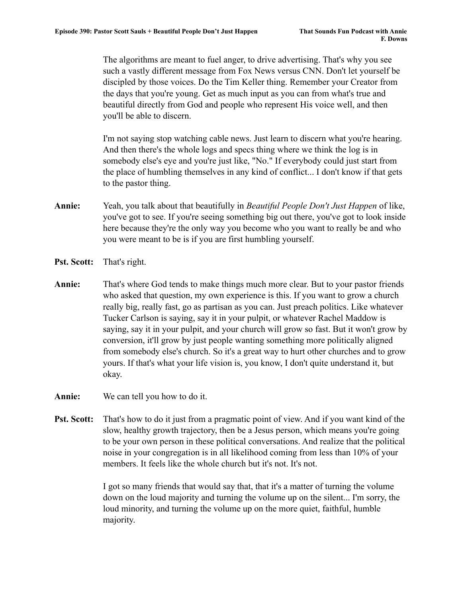The algorithms are meant to fuel anger, to drive advertising. That's why you see such a vastly different message from Fox News versus CNN. Don't let yourself be discipled by those voices. Do the Tim Keller thing. Remember your Creator from the days that you're young. Get as much input as you can from what's true and beautiful directly from God and people who represent His voice well, and then you'll be able to discern.

I'm not saying stop watching cable news. Just learn to discern what you're hearing. And then there's the whole logs and specs thing where we think the log is in somebody else's eye and you're just like, "No." If everybody could just start from the place of humbling themselves in any kind of conflict... I don't know if that gets to the pastor thing.

- **Annie:** Yeah, you talk about that beautifully in *Beautiful People Don't Just Happen* of like, you've got to see. If you're seeing something big out there, you've got to look inside here because they're the only way you become who you want to really be and who you were meant to be is if you are first humbling yourself.
- **Pst. Scott:** That's right.
- **Annie:** That's where God tends to make things much more clear. But to your pastor friends who asked that question, my own experience is this. If you want to grow a church really big, really fast, go as partisan as you can. Just preach politics. Like whatever Tucker Carlson is saying, say it in your pulpit, or whatever Rachel Maddow is saying, say it in your pulpit, and your church will grow so fast. But it won't grow by conversion, it'll grow by just people wanting something more politically aligned from somebody else's church. So it's a great way to hurt other churches and to grow yours. If that's what your life vision is, you know, I don't quite understand it, but okay.
- **Annie:** We can tell you how to do it.
- **Pst. Scott:** That's how to do it just from a pragmatic point of view. And if you want kind of the slow, healthy growth trajectory, then be a Jesus person, which means you're going to be your own person in these political conversations. And realize that the political noise in your congregation is in all likelihood coming from less than 10% of your members. It feels like the whole church but it's not. It's not.

I got so many friends that would say that, that it's a matter of turning the volume down on the loud majority and turning the volume up on the silent... I'm sorry, the loud minority, and turning the volume up on the more quiet, faithful, humble majority.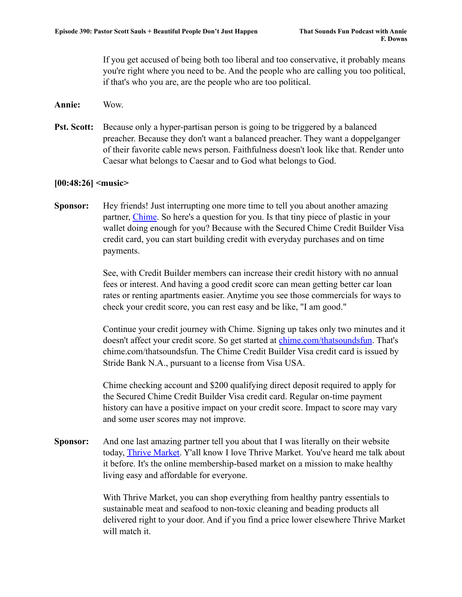If you get accused of being both too liberal and too conservative, it probably means you're right where you need to be. And the people who are calling you too political, if that's who you are, are the people who are too political.

- **Annie:** Wow.
- **Pst. Scott:** Because only a hyper-partisan person is going to be triggered by a balanced preacher. Because they don't want a balanced preacher. They want a doppelganger of their favorite cable news person. Faithfulness doesn't look like that. Render unto Caesar what belongs to Caesar and to God what belongs to God.

# **[00:48:26] <music>**

**Sponsor:** Hey friends! Just interrupting one more time to tell you about another amazing partner, [Chime.](http://www.chime.com/thatsoundsfun) So here's a question for you. Is that tiny piece of plastic in your wallet doing enough for you? Because with the Secured Chime Credit Builder Visa credit card, you can start building credit with everyday purchases and on time payments.

> See, with Credit Builder members can increase their credit history with no annual fees or interest. And having a good credit score can mean getting better car loan rates or renting apartments easier. Anytime you see those commercials for ways to check your credit score, you can rest easy and be like, "I am good."

Continue your credit journey with Chime. Signing up takes only two minutes and it doesn't affect your credit score. So get started at [chime.com/thatsoundsfun](http://www.chime.com/thatsoundsfun). That's chime.com/thatsoundsfun. The Chime Credit Builder Visa credit card is issued by Stride Bank N.A., pursuant to a license from Visa USA.

Chime checking account and \$200 qualifying direct deposit required to apply for the Secured Chime Credit Builder Visa credit card. Regular on-time payment history can have a positive impact on your credit score. Impact to score may vary and some user scores may not improve.

**Sponsor:** And one last amazing partner tell you about that I was literally on their website today, [Thrive Market](http://www.thrivemarket.com/thatsoundsfun). Y'all know I love Thrive Market. You've heard me talk about it before. It's the online membership-based market on a mission to make healthy living easy and affordable for everyone.

> With Thrive Market, you can shop everything from healthy pantry essentials to sustainable meat and seafood to non-toxic cleaning and beading products all delivered right to your door. And if you find a price lower elsewhere Thrive Market will match it.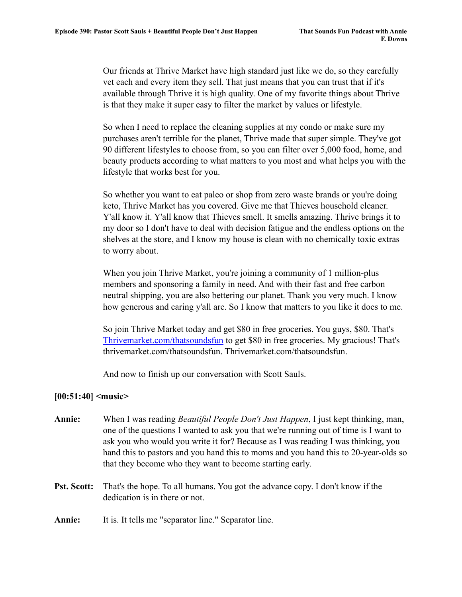Our friends at Thrive Market have high standard just like we do, so they carefully vet each and every item they sell. That just means that you can trust that if it's available through Thrive it is high quality. One of my favorite things about Thrive is that they make it super easy to filter the market by values or lifestyle.

So when I need to replace the cleaning supplies at my condo or make sure my purchases aren't terrible for the planet, Thrive made that super simple. They've got 90 different lifestyles to choose from, so you can filter over 5,000 food, home, and beauty products according to what matters to you most and what helps you with the lifestyle that works best for you.

So whether you want to eat paleo or shop from zero waste brands or you're doing keto, Thrive Market has you covered. Give me that Thieves household cleaner. Y'all know it. Y'all know that Thieves smell. It smells amazing. Thrive brings it to my door so I don't have to deal with decision fatigue and the endless options on the shelves at the store, and I know my house is clean with no chemically toxic extras to worry about.

When you join Thrive Market, you're joining a community of 1 million-plus members and sponsoring a family in need. And with their fast and free carbon neutral shipping, you are also bettering our planet. Thank you very much. I know how generous and caring y'all are. So I know that matters to you like it does to me.

So join Thrive Market today and get \$80 in free groceries. You guys, \$80. That's [Thrivemarket.com/thatsoundsfun](http://www.thrivemarket.com/thatsoundsfun) to get \$80 in free groceries. My gracious! That's thrivemarket.com/thatsoundsfun. Thrivemarket.com/thatsoundsfun.

And now to finish up our conversation with Scott Sauls.

# **[00:51:40] <music>**

- **Annie:** When I was reading *Beautiful People Don't Just Happen*, I just kept thinking, man, one of the questions I wanted to ask you that we're running out of time is I want to ask you who would you write it for? Because as I was reading I was thinking, you hand this to pastors and you hand this to moms and you hand this to 20-year-olds so that they become who they want to become starting early.
- **Pst. Scott:** That's the hope. To all humans. You got the advance copy. I don't know if the dedication is in there or not.

**Annie:** It is. It tells me "separator line." Separator line.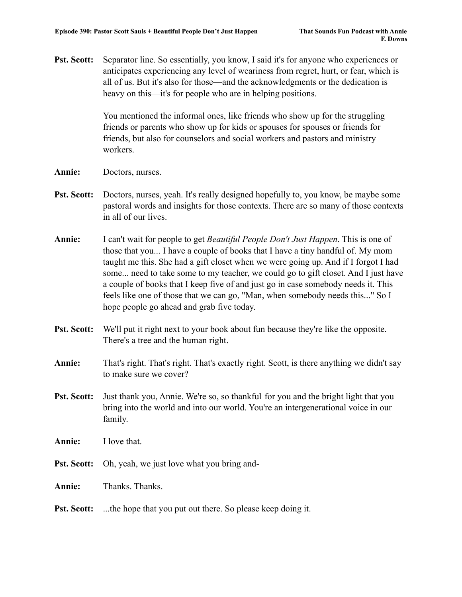**Pst. Scott:** Separator line. So essentially, you know, I said it's for anyone who experiences or anticipates experiencing any level of weariness from regret, hurt, or fear, which is all of us. But it's also for those—and the acknowledgments or the dedication is heavy on this—it's for people who are in helping positions.

> You mentioned the informal ones, like friends who show up for the struggling friends or parents who show up for kids or spouses for spouses or friends for friends, but also for counselors and social workers and pastors and ministry workers.

- **Annie:** Doctors, nurses.
- **Pst. Scott:** Doctors, nurses, yeah. It's really designed hopefully to, you know, be maybe some pastoral words and insights for those contexts. There are so many of those contexts in all of our lives.
- **Annie:** I can't wait for people to get *Beautiful People Don't Just Happen*. This is one of those that you... I have a couple of books that I have a tiny handful of. My mom taught me this. She had a gift closet when we were going up. And if I forgot I had some... need to take some to my teacher, we could go to gift closet. And I just have a couple of books that I keep five of and just go in case somebody needs it. This feels like one of those that we can go, "Man, when somebody needs this..." So I hope people go ahead and grab five today.
- **Pst. Scott:** We'll put it right next to your book about fun because they're like the opposite. There's a tree and the human right.
- **Annie:** That's right. That's right. That's exactly right. Scott, is there anything we didn't say to make sure we cover?
- **Pst. Scott:** Just thank you, Annie. We're so, so thankful for you and the bright light that you bring into the world and into our world. You're an intergenerational voice in our family.
- **Annie:** I love that.
- **Pst. Scott:** Oh, yeah, we just love what you bring and-

**Annie:** Thanks. Thanks.

**Pst. Scott:** ...the hope that you put out there. So please keep doing it.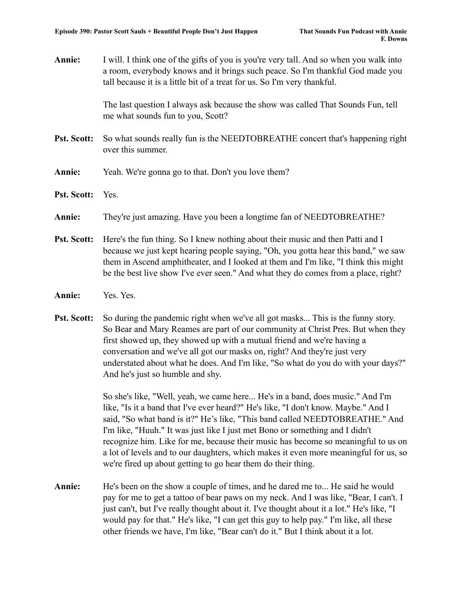**Annie:** I will. I think one of the gifts of you is you're very tall. And so when you walk into a room, everybody knows and it brings such peace. So I'm thankful God made you tall because it is a little bit of a treat for us. So I'm very thankful.

> The last question I always ask because the show was called That Sounds Fun, tell me what sounds fun to you, Scott?

- **Pst. Scott:** So what sounds really fun is the NEEDTOBREATHE concert that's happening right over this summer.
- **Annie:** Yeah. We're gonna go to that. Don't you love them?
- **Pst. Scott:** Yes.
- **Annie:** They're just amazing. Have you been a longtime fan of NEEDTOBREATHE?
- **Pst. Scott:** Here's the fun thing. So I knew nothing about their music and then Patti and I because we just kept hearing people saying, "Oh, you gotta hear this band," we saw them in Ascend amphitheater, and I looked at them and I'm like, "I think this might be the best live show I've ever seen." And what they do comes from a place, right?
- **Annie:** Yes. Yes.
- **Pst. Scott:** So during the pandemic right when we've all got masks... This is the funny story. So Bear and Mary Reames are part of our community at Christ Pres. But when they first showed up, they showed up with a mutual friend and we're having a conversation and we've all got our masks on, right? And they're just very understated about what he does. And I'm like, "So what do you do with your days?" And he's just so humble and shy.

So she's like, "Well, yeah, we came here... He's in a band, does music." And I'm like, "Is it a band that I've ever heard?" He's like, "I don't know. Maybe." And I said, "So what band is it?" He's like, "This band called NEEDTOBREATHE." And I'm like, "Huuh." It was just like I just met Bono or something and I didn't recognize him. Like for me, because their music has become so meaningful to us on a lot of levels and to our daughters, which makes it even more meaningful for us, so we're fired up about getting to go hear them do their thing.

**Annie:** He's been on the show a couple of times, and he dared me to... He said he would pay for me to get a tattoo of bear paws on my neck. And I was like, "Bear, I can't. I just can't, but I've really thought about it. I've thought about it a lot." He's like, "I would pay for that." He's like, "I can get this guy to help pay." I'm like, all these other friends we have, I'm like, "Bear can't do it." But I think about it a lot.